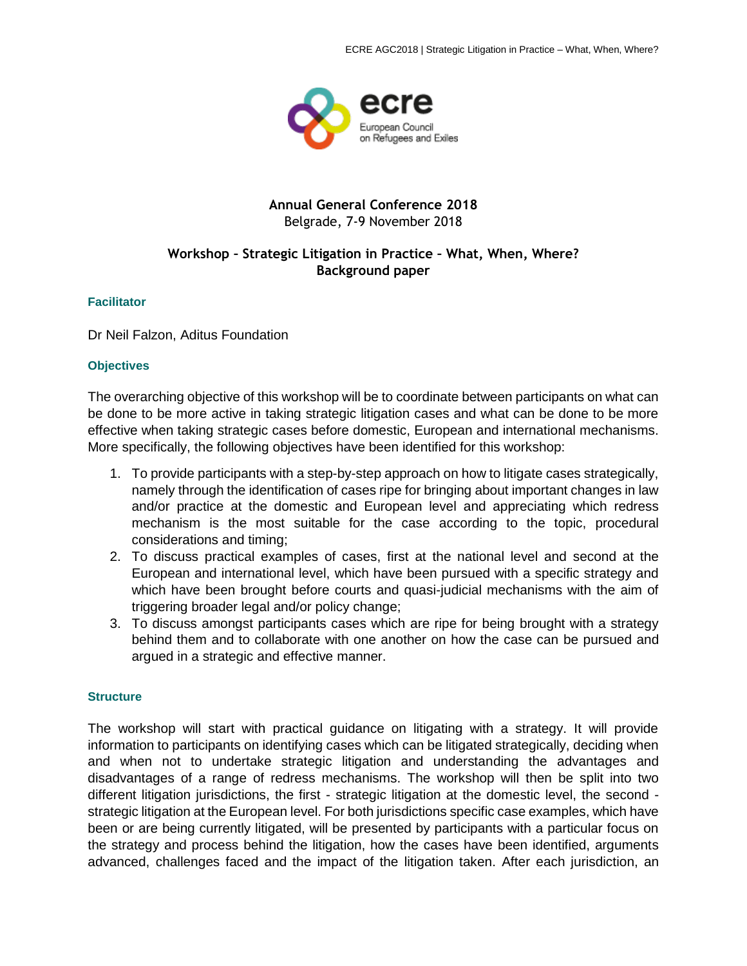

# **Annual General Conference 2018** Belgrade, 7-9 November 2018

# **Workshop – Strategic Litigation in Practice – What, When, Where? Background paper**

## **Facilitator**

Dr Neil Falzon, Aditus Foundation

#### **Objectives**

The overarching objective of this workshop will be to coordinate between participants on what can be done to be more active in taking strategic litigation cases and what can be done to be more effective when taking strategic cases before domestic, European and international mechanisms. More specifically, the following objectives have been identified for this workshop:

- 1. To provide participants with a step-by-step approach on how to litigate cases strategically, namely through the identification of cases ripe for bringing about important changes in law and/or practice at the domestic and European level and appreciating which redress mechanism is the most suitable for the case according to the topic, procedural considerations and timing;
- 2. To discuss practical examples of cases, first at the national level and second at the European and international level, which have been pursued with a specific strategy and which have been brought before courts and quasi-judicial mechanisms with the aim of triggering broader legal and/or policy change;
- 3. To discuss amongst participants cases which are ripe for being brought with a strategy behind them and to collaborate with one another on how the case can be pursued and argued in a strategic and effective manner.

## **Structure**

The workshop will start with practical guidance on litigating with a strategy. It will provide information to participants on identifying cases which can be litigated strategically, deciding when and when not to undertake strategic litigation and understanding the advantages and disadvantages of a range of redress mechanisms. The workshop will then be split into two different litigation jurisdictions, the first - strategic litigation at the domestic level, the second strategic litigation at the European level. For both jurisdictions specific case examples, which have been or are being currently litigated, will be presented by participants with a particular focus on the strategy and process behind the litigation, how the cases have been identified, arguments advanced, challenges faced and the impact of the litigation taken. After each jurisdiction, an